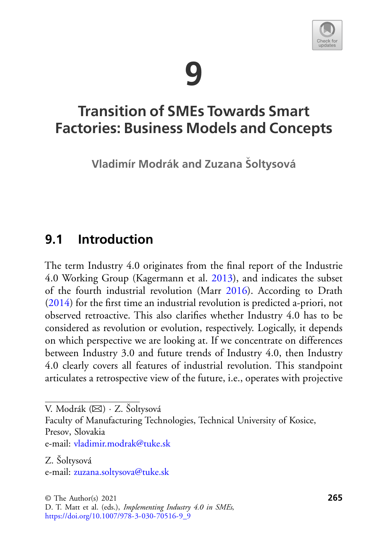# **9**



## **Transition of SMEs Towards Smart Factories: Business Models and Concepts**

**Vladimír Modrák and Zuzana Soltysová** 

## **9.1 Introduction**

The term Industry 4.0 originates from the final report of the Industrie 4.0 Working Group (Kagermann et al. [2013\)](#page-24-0), and indicates the subset of the fourth industrial revolution (Marr [2016\)](#page-25-0). According to Drath [\(2014\)](#page-22-0) for the first time an industrial revolution is predicted a-priori, not observed retroactive. This also clarifies whether Industry 4.0 has to be considered as revolution or evolution, respectively. Logically, it depends on which perspective we are looking at. If we concentrate on differences between Industry 3.0 and future trends of Industry 4.0, then Industry 4.0 clearly covers all features of industrial revolution. This standpoint articulates a retrospective view of the future, i.e., operates with projective

Faculty of Manufacturing Technologies, Technical University of Kosice, Presov, Slovakia

e-mail: [vladimir.modrak@tuke.sk](mailto:vladimir.modrak@tuke.sk)

Z. Šoltysová e-mail: [zuzana.soltysova@tuke.sk](mailto:zuzana.soltysova@tuke.sk)

V. Modrák (B) · Z. Šoltysová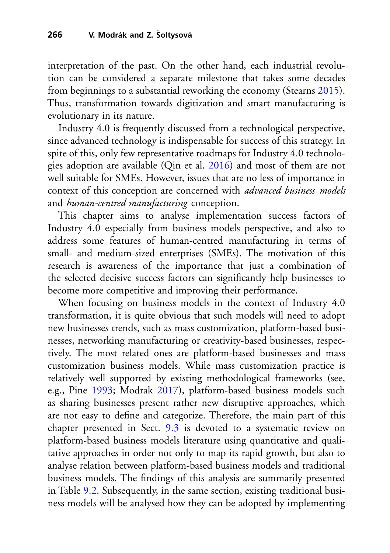interpretation of the past. On the other hand, each industrial revolution can be considered a separate milestone that takes some decades from beginnings to a substantial reworking the economy (Stearns [2015\)](#page-26-0). Thus, transformation towards digitization and smart manufacturing is evolutionary in its nature.

Industry 4.0 is frequently discussed from a technological perspective, since advanced technology is indispensable for success of this strategy. In spite of this, only few representative roadmaps for Industry 4.0 technologies adoption are available (Qin et al. [2016\)](#page-25-1) and most of them are not well suitable for SMEs. However, issues that are no less of importance in context of this conception are concerned with *advanced business models* and *human-centred manufacturing* conception.

This chapter aims to analyse implementation success factors of Industry 4.0 especially from business models perspective, and also to address some features of human-centred manufacturing in terms of small- and medium-sized enterprises (SMEs). The motivation of this research is awareness of the importance that just a combination of the selected decisive success factors can significantly help businesses to become more competitive and improving their performance.

When focusing on business models in the context of Industry 4.0 transformation, it is quite obvious that such models will need to adopt new businesses trends, such as mass customization, platform-based businesses, networking manufacturing or creativity-based businesses, respectively. The most related ones are platform-based businesses and mass customization business models. While mass customization practice is relatively well supported by existing methodological frameworks (see, e.g., Pine [1993;](#page-25-2) Modrak [2017\)](#page-25-3), platform-based business models such as sharing businesses present rather new disruptive approaches, which are not easy to define and categorize. Therefore, the main part of this chapter presented in Sect. [9.3](#page-4-0) is devoted to a systematic review on platform-based business models literature using quantitative and qualitative approaches in order not only to map its rapid growth, but also to analyse relation between platform-based business models and traditional business models. The findings of this analysis are summarily presented in Table [9.2.](#page-13-0) Subsequently, in the same section, existing traditional business models will be analysed how they can be adopted by implementing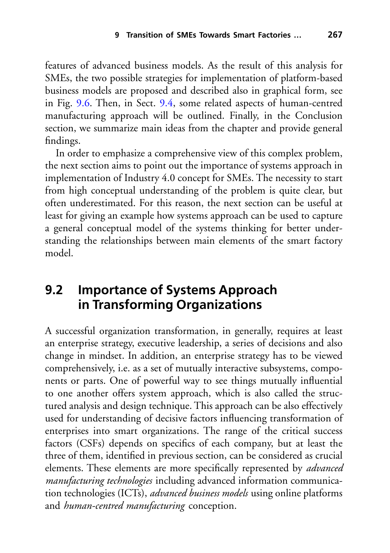features of advanced business models. As the result of this analysis for SMEs, the two possible strategies for implementation of platform-based business models are proposed and described also in graphical form, see in Fig. [9.6.](#page-16-0) Then, in Sect. [9.4,](#page-18-0) some related aspects of human-centred manufacturing approach will be outlined. Finally, in the Conclusion section, we summarize main ideas from the chapter and provide general findings.

In order to emphasize a comprehensive view of this complex problem, the next section aims to point out the importance of systems approach in implementation of Industry 4.0 concept for SMEs. The necessity to start from high conceptual understanding of the problem is quite clear, but often underestimated. For this reason, the next section can be useful at least for giving an example how systems approach can be used to capture a general conceptual model of the systems thinking for better understanding the relationships between main elements of the smart factory model.

## **9.2 Importance of Systems Approach in Transforming Organizations**

A successful organization transformation, in generally, requires at least an enterprise strategy, executive leadership, a series of decisions and also change in mindset. In addition, an enterprise strategy has to be viewed comprehensively, i.e. as a set of mutually interactive subsystems, components or parts. One of powerful way to see things mutually influential to one another offers system approach, which is also called the structured analysis and design technique. This approach can be also effectively used for understanding of decisive factors influencing transformation of enterprises into smart organizations. The range of the critical success factors (CSFs) depends on specifics of each company, but at least the three of them, identified in previous section, can be considered as crucial elements. These elements are more specifically represented by *advanced manufacturing technologies* including advanced information communication technologies (ICTs), *advanced business models* using online platforms and *human-centred manufacturing* conception.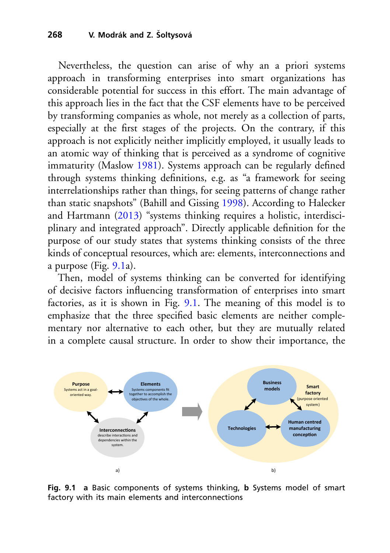Nevertheless, the question can arise of why an a priori systems approach in transforming enterprises into smart organizations has considerable potential for success in this effort. The main advantage of this approach lies in the fact that the CSF elements have to be perceived by transforming companies as whole, not merely as a collection of parts, especially at the first stages of the projects. On the contrary, if this approach is not explicitly neither implicitly employed, it usually leads to an atomic way of thinking that is perceived as a syndrome of cognitive immaturity (Maslow [1981\)](#page-25-4). Systems approach can be regularly defined through systems thinking definitions, e.g. as "a framework for seeing interrelationships rather than things, for seeing patterns of change rather than static snapshots" (Bahill and Gissing [1998\)](#page-21-0). According to Halecker and Hartmann [\(2013\)](#page-23-0) "systems thinking requires a holistic, interdisciplinary and integrated approach". Directly applicable definition for the purpose of our study states that systems thinking consists of the three kinds of conceptual resources, which are: elements, interconnections and a purpose (Fig. [9.1a](#page-3-0)).

Then, model of systems thinking can be converted for identifying of decisive factors influencing transformation of enterprises into smart factories, as it is shown in Fig. [9.1.](#page-3-0) The meaning of this model is to emphasize that the three specified basic elements are neither complementary nor alternative to each other, but they are mutually related in a complete causal structure. In order to show their importance, the



<span id="page-3-0"></span>**Fig. 9.1 a** Basic components of systems thinking, **b** Systems model of smart factory with its main elements and interconnections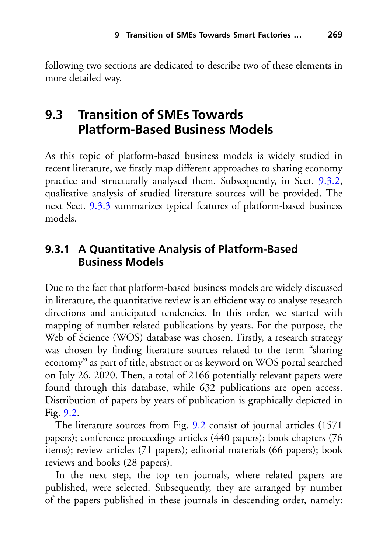following two sections are dedicated to describe two of these elements in more detailed way.

## <span id="page-4-0"></span>**9.3 Transition of SMEs Towards Platform-Based Business Models**

As this topic of platform-based business models is widely studied in recent literature, we firstly map different approaches to sharing economy practice and structurally analysed them. Subsequently, in Sect. [9.3.2,](#page-13-1) qualitative analysis of studied literature sources will be provided. The next Sect. [9.3.3](#page-17-0) summarizes typical features of platform-based business models.

#### **9.3.1 A Quantitative Analysis of Platform-Based Business Models**

Due to the fact that platform-based business models are widely discussed in literature, the quantitative review is an efficient way to analyse research directions and anticipated tendencies. In this order, we started with mapping of number related publications by years. For the purpose, the Web of Science (WOS) database was chosen. Firstly, a research strategy was chosen by finding literature sources related to the term "sharing economy**"** as part of title, abstract or as keyword on WOS portal searched on July 26, 2020. Then, a total of 2166 potentially relevant papers were found through this database, while 632 publications are open access. Distribution of papers by years of publication is graphically depicted in Fig. [9.2.](#page-5-0)

The literature sources from Fig. [9.2](#page-5-0) consist of journal articles (1571 papers); conference proceedings articles (440 papers); book chapters (76 items); review articles (71 papers); editorial materials (66 papers); book reviews and books (28 papers).

In the next step, the top ten journals, where related papers are published, were selected. Subsequently, they are arranged by number of the papers published in these journals in descending order, namely: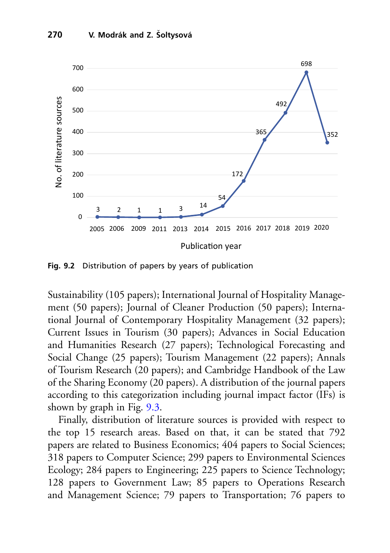

<span id="page-5-0"></span>**Fig. 9.2** Distribution of papers by years of publication

Sustainability (105 papers); International Journal of Hospitality Management (50 papers); Journal of Cleaner Production (50 papers); International Journal of Contemporary Hospitality Management (32 papers); Current Issues in Tourism (30 papers); Advances in Social Education and Humanities Research (27 papers); Technological Forecasting and Social Change (25 papers); Tourism Management (22 papers); Annals of Tourism Research (20 papers); and Cambridge Handbook of the Law of the Sharing Economy (20 papers). A distribution of the journal papers according to this categorization including journal impact factor (IFs) is shown by graph in Fig. [9.3.](#page-6-0)

Finally, distribution of literature sources is provided with respect to the top 15 research areas. Based on that, it can be stated that 792 papers are related to Business Economics; 404 papers to Social Sciences; 318 papers to Computer Science; 299 papers to Environmental Sciences Ecology; 284 papers to Engineering; 225 papers to Science Technology; 128 papers to Government Law; 85 papers to Operations Research and Management Science; 79 papers to Transportation; 76 papers to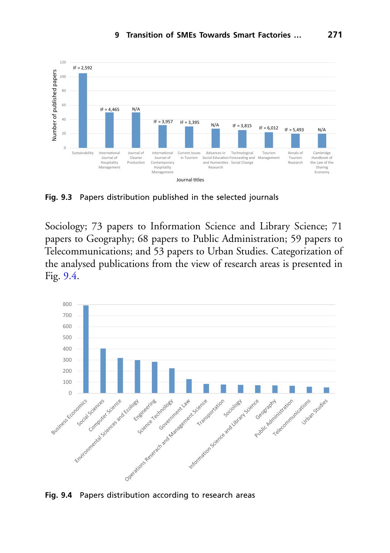

<span id="page-6-0"></span>**Fig. 9.3** Papers distribution published in the selected journals

Sociology; 73 papers to Information Science and Library Science; 71 papers to Geography; 68 papers to Public Administration; 59 papers to Telecommunications; and 53 papers to Urban Studies. Categorization of the analysed publications from the view of research areas is presented in Fig. [9.4.](#page-6-1)



<span id="page-6-1"></span>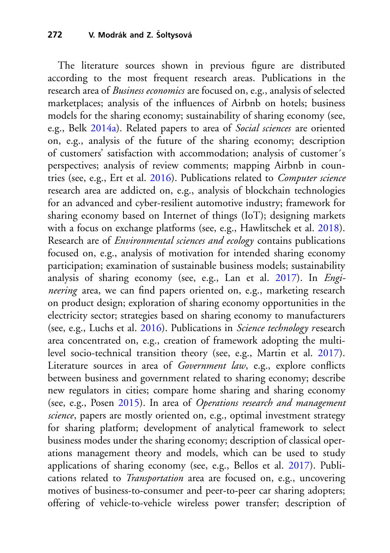The literature sources shown in previous figure are distributed according to the most frequent research areas. Publications in the research area of *Business economics* are focused on, e.g., analysis of selected marketplaces; analysis of the influences of Airbnb on hotels; business models for the sharing economy; sustainability of sharing economy (see, e.g., Belk [2014a\)](#page-21-1). Related papers to area of *Social sciences* are oriented on, e.g., analysis of the future of the sharing economy; description of customers' satisfaction with accommodation; analysis of customer´s perspectives; analysis of review comments; mapping Airbnb in countries (see, e.g., Ert et al. [2016\)](#page-22-1). Publications related to *Computer science* research area are addicted on, e.g., analysis of blockchain technologies for an advanced and cyber-resilient automotive industry; framework for sharing economy based on Internet of things (IoT); designing markets with a focus on exchange platforms (see, e.g., Hawlitschek et al. [2018\)](#page-23-1). Research are of *Environmental sciences and ecology* contains publications focused on, e.g., analysis of motivation for intended sharing economy participation; examination of sustainable business models; sustainability analysis of sharing economy (see, e.g., Lan et al. [2017\)](#page-24-1). In *Engineering* area, we can find papers oriented on, e.g., marketing research on product design; exploration of sharing economy opportunities in the electricity sector; strategies based on sharing economy to manufacturers (see, e.g., Luchs et al. [2016\)](#page-25-5). Publications in *Science technology r*esearch area concentrated on, e.g., creation of framework adopting the multilevel socio-technical transition theory (see, e.g., Martin et al. [2017\)](#page-25-6). Literature sources in area of *Government law*, e.g., explore conflicts between business and government related to sharing economy; describe new regulators in cities; compare home sharing and sharing economy (see, e.g., Posen [2015\)](#page-25-7). In area of *Operations research and management science*, papers are mostly oriented on, e.g., optimal investment strategy for sharing platform; development of analytical framework to select business modes under the sharing economy; description of classical operations management theory and models, which can be used to study applications of sharing economy (see, e.g., Bellos et al. [2017\)](#page-22-2). Publications related to *Transportation* area are focused on, e.g., uncovering motives of business-to-consumer and peer-to-peer car sharing adopters; offering of vehicle-to-vehicle wireless power transfer; description of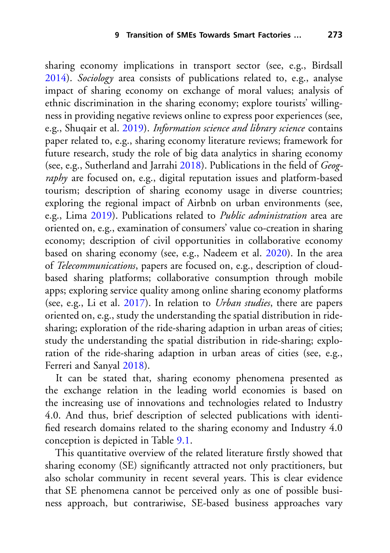sharing economy implications in transport sector (see, e.g., Birdsall [2014\)](#page-22-3). *Sociology* area consists of publications related to, e.g., analyse impact of sharing economy on exchange of moral values; analysis of ethnic discrimination in the sharing economy; explore tourists' willingness in providing negative reviews online to express poor experiences (see, e.g., Shuqair et al. [2019\)](#page-26-1). *Information science and library science* contains paper related to, e.g., sharing economy literature reviews; framework for future research, study the role of big data analytics in sharing economy (see, e.g., Sutherland and Jarrahi [2018\)](#page-26-2). Publications in the field of *Geography* are focused on, e.g., digital reputation issues and platform-based tourism; description of sharing economy usage in diverse countries; exploring the regional impact of Airbnb on urban environments (see, e.g., Lima [2019\)](#page-24-2). Publications related to *Public administration* area are oriented on, e.g., examination of consumers' value co-creation in sharing economy; description of civil opportunities in collaborative economy based on sharing economy (see, e.g., Nadeem et al. [2020\)](#page-25-8). In the area of *Telecommunications*, papers are focused on, e.g., description of cloudbased sharing platforms; collaborative consumption through mobile apps; exploring service quality among online sharing economy platforms (see, e.g., Li et al. [2017\)](#page-24-3). In relation to *Urban studies*, there are papers oriented on, e.g., study the understanding the spatial distribution in ridesharing; exploration of the ride-sharing adaption in urban areas of cities; study the understanding the spatial distribution in ride-sharing; exploration of the ride-sharing adaption in urban areas of cities (see, e.g., Ferreri and Sanyal [2018\)](#page-23-2).

It can be stated that, sharing economy phenomena presented as the exchange relation in the leading world economies is based on the increasing use of innovations and technologies related to Industry 4.0. And thus, brief description of selected publications with identified research domains related to the sharing economy and Industry 4.0 conception is depicted in Table [9.1.](#page-9-0)

This quantitative overview of the related literature firstly showed that sharing economy (SE) significantly attracted not only practitioners, but also scholar community in recent several years. This is clear evidence that SE phenomena cannot be perceived only as one of possible business approach, but contrariwise, SE-based business approaches vary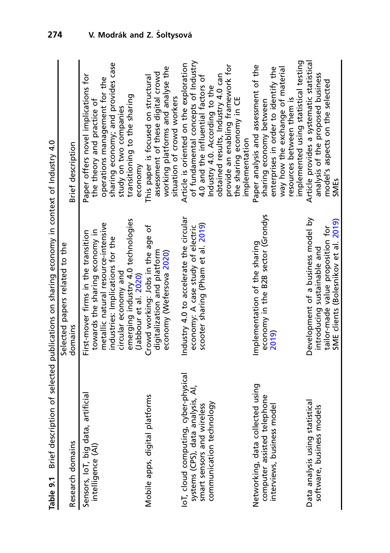<span id="page-9-0"></span>

| ֖֖֖֖֖֖֖֖֧֪ׅ֖ׅ֖֖֪֪֪ׅ֪֖֪֪֪֪֪֪֪֪֪֪֪֪֪֪֪֪֪֪֪֪֪֪֪֚֚֚֚֚֚֚֚֚֚֚֚֚֚֚֚֚֡֝֝֝֝֝֓֝֝֓֝֬֝֓֞֝֝֝֝֝֝֝֝֬ |
|---------------------------------------------------------------------------------------|
|                                                                                       |
|                                                                                       |
|                                                                                       |
|                                                                                       |
| J                                                                                     |
| ہ<br>و                                                                                |
| .<br>.<br>.                                                                           |
| =<br>=<br>=<br>=                                                                      |
| ;<br>i.                                                                               |
| :                                                                                     |
|                                                                                       |
| ble 9.1                                                                               |
|                                                                                       |

|                                                                                                         | Table 9.1 Brief description of selected publications on sharing economy in context of Industry 4.0                                             |                                                                                                                                                                                                                   |
|---------------------------------------------------------------------------------------------------------|------------------------------------------------------------------------------------------------------------------------------------------------|-------------------------------------------------------------------------------------------------------------------------------------------------------------------------------------------------------------------|
|                                                                                                         | Selected papers related to the                                                                                                                 |                                                                                                                                                                                                                   |
| Research domains                                                                                        | domains                                                                                                                                        | Brief description                                                                                                                                                                                                 |
| Sensors, loT, big data, artificial<br>intelligence (AI)                                                 | metallic natural resource-intensive<br>towards the sharing economy in<br>First-mover firms in the transition                                   | Paper offers novel implications for<br>operations management for the<br>the theory and practice of                                                                                                                |
|                                                                                                         | emerging industry 4.0 technologies<br>industries: Implications for the<br>circular economy and<br>(Jabbour et al. 2020)                        | sharing economy; and provides case<br>transitioning to the sharing<br>study on two companies<br>economy                                                                                                           |
| Mobile apps, digital platforms                                                                          | Crowd working: Jobs in the age of<br>digitalization and platform<br>economy (Wefersova 2020)                                                   | working platforms and analyse the<br>assessment of these digital crowd<br>This paper is focused on structural<br>situation of crowd workers                                                                       |
| IoT, cloud computing, cyber-physical<br>systems (CPS), data analysis, AI,<br>smart sensors and wireless | Industry 4.0 to accelerate the circular<br>scooter sharing (Pham et al. 2019)<br>economy: A case study of electric                             | of fundamental concepts of Industry<br>Article is oriented on the exploration<br>4.0 and the influential factors of                                                                                               |
| communication technology                                                                                |                                                                                                                                                | provide an enabling framework for<br>obtained results, Industry 4.0 can<br>Industry 4.0. According to the<br>the sharing economy in CE<br>implementation                                                          |
| Networking, data collected using<br>computer assisted telephone<br>interviews, business model           | economy in the B2B sector (Grondys<br>Implementation of the sharing<br>2019                                                                    | implemented using statistical testing<br>Paper analysis and assessment of the<br>enterprises in order to identify the<br>way how the exchange of material<br>resources between them is<br>sharing economy between |
| Data analysis using statistical<br>software, business models                                            | Development of a business model by<br>SME clients (Bolesnikov et al. 2019)<br>tailor-made value proposition for<br>introducing sustainable and | Article provides a systematic statistical<br>analysis of the proposed business<br>model's aspects on the selected<br>SMEs                                                                                         |
|                                                                                                         |                                                                                                                                                |                                                                                                                                                                                                                   |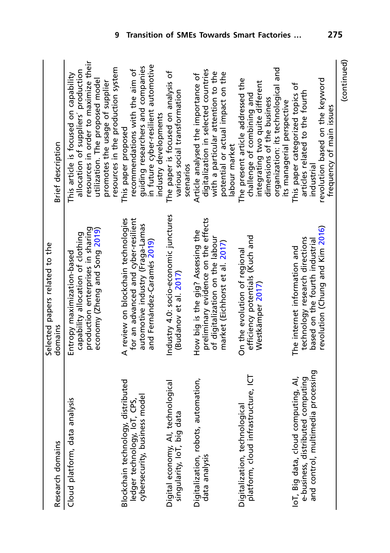| Research domains                                                                                               | Selected papers related to the<br>domains                                                                                                     | Brief description                                                                                                                                                                                                               |
|----------------------------------------------------------------------------------------------------------------|-----------------------------------------------------------------------------------------------------------------------------------------------|---------------------------------------------------------------------------------------------------------------------------------------------------------------------------------------------------------------------------------|
| Cloud platform, data analysis                                                                                  | production enterprises in sharing<br>economy (Zheng and Song 2019)<br>capability allocation of clothing<br>Entropy maximization-based         | resources in order to maximize their<br>resources in the production system<br>allocation of suppliers' production<br>This article is focused on capability<br>utilization. The proposed model<br>promotes the usage of supplier |
| Blockchain technology, distributed<br>cybersecurity, business model<br>ledger technology, loT, CPS,            | A review on blockchain technologies<br>for an advanced and cyber-resilient<br>automotive industry (Fraga-Lamas<br>and Fernández-Caramés 2019) | in future cyber-resilient automotive<br>guiding researchers and companies<br>recommendations with the aim of<br>industry developments<br>This paper proposed                                                                    |
| Digital economy, Al, technological<br>singularity, loT, big data                                               | Industry 4.0: socio-economic junctures<br>(Budanov et al. 2017)                                                                               | The paper is focused on analysis of<br>various social transformation<br>scenarios                                                                                                                                               |
| Digitalization, robots, automation,<br>data analysis                                                           | preliminary evidence on the effects<br>How big is the gig? Assessing the<br>of digitalization on the labour<br>market (Eichhorst et al. 2017) | digitalization in selected countries<br>with a particular attention to the<br>Article analysed the importance of<br>potential or actual impact on the<br>labour market                                                          |
| platform, cloud infrastructure, ICT<br>Digitalization, technological                                           | efficiency potentials (Kuch and<br>On the evolution of regional<br>Westkämper 2017)                                                           | organization: its technological and<br>The present article addressed the<br>integrating two quite different<br>challenge of combining and<br>dimensions of the business<br>its managerial perspective                           |
| and control, multimedia processing<br>IoT, Big data, cloud computing, AI,<br>e-business, distributed computing | revolution (Chung and Kim 2016)<br>technology research directions<br>based on the fourth industrial<br>The internet information and           | revolution based on the keyword<br>This paper categorized topics of<br>articles related to the fourth<br>frequency of main issues<br>industrial                                                                                 |
|                                                                                                                |                                                                                                                                               | (continued)                                                                                                                                                                                                                     |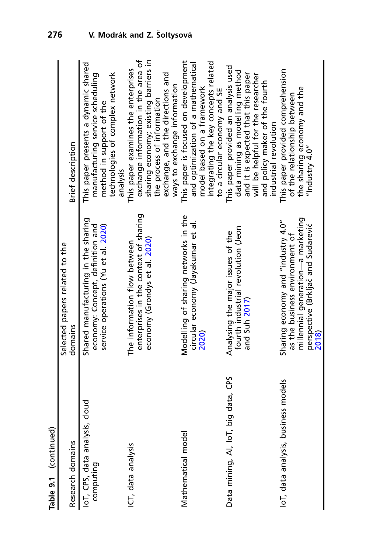| Table 9.1 (continued)                       |                                                                                                                                                         |                                                                                                                                                                                                                       |
|---------------------------------------------|---------------------------------------------------------------------------------------------------------------------------------------------------------|-----------------------------------------------------------------------------------------------------------------------------------------------------------------------------------------------------------------------|
| Research domains                            | Selected papers related to the<br>domains                                                                                                               | Brief description                                                                                                                                                                                                     |
| IoT, CPS, data analysis, cloud<br>computing | Shared manufacturing in the sharing<br>economy: Concept, definition and<br>service operations (Yu et al. 2020)                                          | This paper presents a dynamic shared<br>technologies of complex network<br>manufacturing service scheduling<br>method in support of the<br>analysis                                                                   |
| ICT, data analysis                          | enterprises in the context of sharing<br>economy (Grondys et al. 2020)<br>The information flow between                                                  | exchange information in the area of<br>sharing economy; existing barriers in<br>This paper examines the enterprises<br>exchange, and the directions and<br>ways to exchange information<br>the process of information |
| Mathematical model                          | Modelling of sharing networks in the<br>circular economy (Jayakumar et al.<br>2020)                                                                     | This paper is focused on development<br>integrating the key concepts related<br>and optimization of a mathematical<br>model based on a framework<br>to a circular economy and SE                                      |
| Data mining, AI, IoT, big data, CPS         | fourth industrial revolution (Jeon<br>Analysing the major issues of the<br>and Suh 2017)                                                                | This paper provided an analysis used<br>data mining as modelling method<br>and it is expected that this paper<br>will be helpful for the researcher<br>and policy maker of the fourth<br>industrial revolution        |
| loT, data analysis, business models         | millennial generation-a marketing<br>Sharing economy and "industry 4.0"<br>perspective (Brkljač and Sudarević<br>as the business environment of<br>2018 | This paper provided comprehension<br>the sharing economy and the<br>of the relationship between<br>"Industry 4.0"                                                                                                     |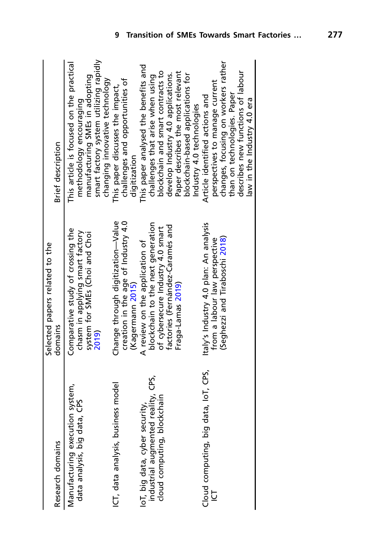| Research domains                                                                                    | Selected papers related to the<br>domains                                                                                                                         | Brief description                                                                                                                                                                                                                       |
|-----------------------------------------------------------------------------------------------------|-------------------------------------------------------------------------------------------------------------------------------------------------------------------|-----------------------------------------------------------------------------------------------------------------------------------------------------------------------------------------------------------------------------------------|
| Manufacturing execution system,<br>data analysis, big data, CPS                                     | Comparative study of crossing the<br>chasm in applying smart factory<br>system for SMEs (Choi and Choi<br>2019)                                                   | smart factory system utilizing rapidly<br>This article is focused on the practical<br>manufacturing SMEs in adopting<br>changing innovative technology<br>methodology encouraging                                                       |
| ICT, data analysis, business model                                                                  | creation in the age of Industry 4.0<br>Change through digitization-Value<br>(Kagermann 2015)                                                                      | challenges and opportunities of<br>This paper discusses the impact,<br>digitization                                                                                                                                                     |
| industrial augmented reality, CPS,<br>cloud computing, blockchain<br>IoT, big data, cyber security, | blockchain to the next generation<br>factories (Fernández-Caramés and<br>of cybersecure Industry 4.0 smart<br>A review on the application of<br>Fraga-Lamas 2019) | This paper analysed the benefits and<br>blockchain and smart contracts to<br>Paper describes the most relevant<br>develop Industry 4.0 applications.<br>blockchain-based applications for<br>challenges that arise when using           |
| Cloud computing, big data, IoT, CPS,                                                                | Italy's Industry 4.0 plan: An analysis<br>(Seghezzi and Tiraboschi 2018)<br>from a labour law perspective                                                         | changes, focusing on workers rather<br>describes new functions of labour<br>perspectives to manage current<br>than on technologies. Paper<br>Article identified actions and<br>law in the Industry 4.0 era<br>Industry 4.0 technologies |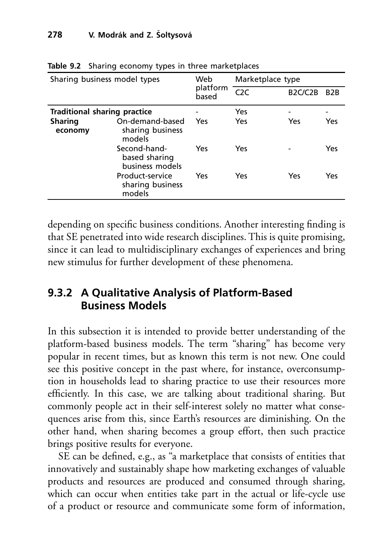| Sharing business model types |                                                  | Web<br>platform<br>based | Marketplace type |                                   |                  |
|------------------------------|--------------------------------------------------|--------------------------|------------------|-----------------------------------|------------------|
|                              |                                                  |                          | C2C              | B <sub>2</sub> C/C <sub>2</sub> B | B <sub>2</sub> B |
| Traditional sharing practice |                                                  |                          | Yes              |                                   |                  |
| <b>Sharing</b><br>economy    | On-demand-based<br>sharing business<br>models    | Yes                      | Yes              | Yes                               | Yes              |
|                              | Second-hand-<br>based sharing<br>business models | Yes                      | Yes              |                                   | Yes              |
|                              | Product-service<br>sharing business<br>models    | Yes                      | Yes              | Yes                               | Yes              |

<span id="page-13-0"></span>**Table 9.2** Sharing economy types in three marketplaces

depending on specific business conditions. Another interesting finding is that SE penetrated into wide research disciplines. This is quite promising, since it can lead to multidisciplinary exchanges of experiences and bring new stimulus for further development of these phenomena.

#### <span id="page-13-1"></span>**9.3.2 A Qualitative Analysis of Platform-Based Business Models**

In this subsection it is intended to provide better understanding of the platform-based business models. The term "sharing" has become very popular in recent times, but as known this term is not new. One could see this positive concept in the past where, for instance, overconsumption in households lead to sharing practice to use their resources more efficiently. In this case, we are talking about traditional sharing. But commonly people act in their self-interest solely no matter what consequences arise from this, since Earth's resources are diminishing. On the other hand, when sharing becomes a group effort, then such practice brings positive results for everyone.

SE can be defined, e.g., as "a marketplace that consists of entities that innovatively and sustainably shape how marketing exchanges of valuable products and resources are produced and consumed through sharing, which can occur when entities take part in the actual or life-cycle use of a product or resource and communicate some form of information,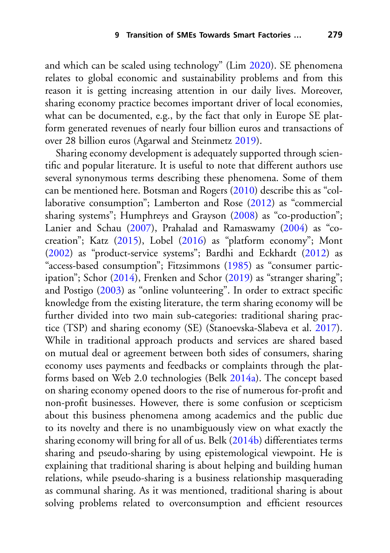and which can be scaled using technology" (Lim [2020\)](#page-24-9). SE phenomena relates to global economic and sustainability problems and from this reason it is getting increasing attention in our daily lives. Moreover, sharing economy practice becomes important driver of local economies, what can be documented, e.g., by the fact that only in Europe SE platform generated revenues of nearly four billion euros and transactions of over 28 billion euros (Agarwal and Steinmetz [2019\)](#page-21-2).

Sharing economy development is adequately supported through scientific and popular literature. It is useful to note that different authors use several synonymous terms describing these phenomena. Some of them can be mentioned here. Botsman and Rogers [\(2010\)](#page-22-11) describe this as "collaborative consumption"; Lamberton and Rose [\(2012\)](#page-24-10) as "commercial sharing systems"; Humphreys and Grayson [\(2008\)](#page-23-6) as "co-production"; Lanier and Schau [\(2007\)](#page-24-11), Prahalad and Ramaswamy [\(2004\)](#page-25-10) as "cocreation"; Katz [\(2015\)](#page-24-12), Lobel [\(2016\)](#page-25-11) as "platform economy"; Mont [\(2002\)](#page-25-12) as "product-service systems"; Bardhi and Eckhardt [\(2012\)](#page-21-3) as "access-based consumption"; Fitzsimmons [\(1985\)](#page-23-7) as "consumer partic-ipation"; Schor [\(2014\)](#page-26-7), Frenken and Schor [\(2019\)](#page-23-8) as "stranger sharing"; and Postigo [\(2003\)](#page-25-13) as "online volunteering". In order to extract specific knowledge from the existing literature, the term sharing economy will be further divided into two main sub-categories: traditional sharing practice (TSP) and sharing economy (SE) (Stanoevska-Slabeva et al. [2017\)](#page-26-8). While in traditional approach products and services are shared based on mutual deal or agreement between both sides of consumers, sharing economy uses payments and feedbacks or complaints through the platforms based on Web 2.0 technologies (Belk [2014a\)](#page-21-1). The concept based on sharing economy opened doors to the rise of numerous for-profit and non-profit businesses. However, there is some confusion or scepticism about this business phenomena among academics and the public due to its novelty and there is no unambiguously view on what exactly the sharing economy will bring for all of us. Belk [\(2014b\)](#page-22-12) differentiates terms sharing and pseudo-sharing by using epistemological viewpoint. He is explaining that traditional sharing is about helping and building human relations, while pseudo-sharing is a business relationship masquerading as communal sharing. As it was mentioned, traditional sharing is about solving problems related to overconsumption and efficient resources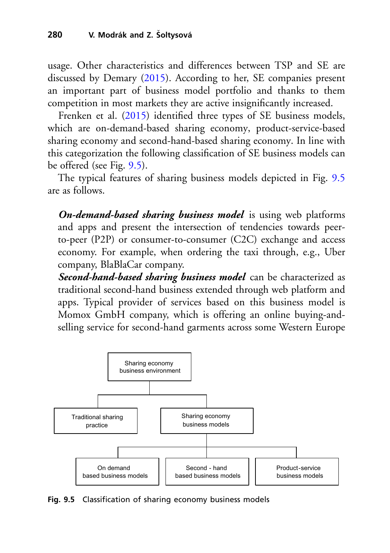usage. Other characteristics and differences between TSP and SE are discussed by Demary [\(2015\)](#page-22-13). According to her, SE companies present an important part of business model portfolio and thanks to them competition in most markets they are active insignificantly increased.

Frenken et al. [\(2015\)](#page-23-9) identified three types of SE business models, which are on-demand-based sharing economy, product-service-based sharing economy and second-hand-based sharing economy. In line with this categorization the following classification of SE business models can be offered (see Fig. [9.5\)](#page-15-0).

The typical features of sharing business models depicted in Fig. [9.5](#page-15-0) are as follows.

*On-demand-based sharing business model* is using web platforms and apps and present the intersection of tendencies towards peerto-peer (P2P) or consumer-to-consumer (C2C) exchange and access economy. For example, when ordering the taxi through, e.g., Uber company, BlaBlaCar company.

*Second-hand-based sharing business model* can be characterized as traditional second-hand business extended through web platform and apps. Typical provider of services based on this business model is Momox GmbH company, which is offering an online buying-andselling service for second-hand garments across some Western Europe



<span id="page-15-0"></span>**Fig. 9.5** Classification of sharing economy business models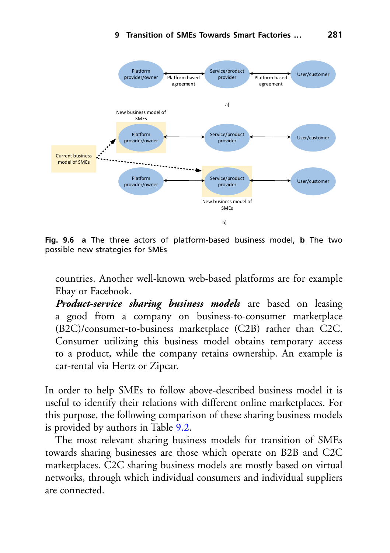

<span id="page-16-0"></span>**Fig. 9.6 a** The three actors of platform-based business model, **b** The two possible new strategies for SMEs

countries. Another well-known web-based platforms are for example Ebay or Facebook.

*Product-service sharing business models* are based on leasing a good from a company on business-to-consumer marketplace (B2C)/consumer-to-business marketplace (C2B) rather than C2C. Consumer utilizing this business model obtains temporary access to a product, while the company retains ownership. An example is car-rental via Hertz or Zipcar.

In order to help SMEs to follow above-described business model it is useful to identify their relations with different online marketplaces. For this purpose, the following comparison of these sharing business models is provided by authors in Table [9.2.](#page-13-0)

The most relevant sharing business models for transition of SMEs towards sharing businesses are those which operate on B2B and C2C marketplaces. C2C sharing business models are mostly based on virtual networks, through which individual consumers and individual suppliers are connected.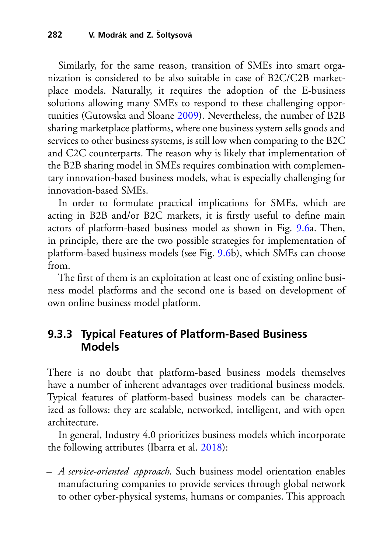Similarly, for the same reason, transition of SMEs into smart organization is considered to be also suitable in case of B2C/C2B marketplace models. Naturally, it requires the adoption of the E-business solutions allowing many SMEs to respond to these challenging opportunities (Gutowska and Sloane [2009\)](#page-23-10). Nevertheless, the number of B2B sharing marketplace platforms, where one business system sells goods and services to other business systems, is still low when comparing to the B2C and C2C counterparts. The reason why is likely that implementation of the B2B sharing model in SMEs requires combination with complementary innovation-based business models, what is especially challenging for innovation-based SMEs.

In order to formulate practical implications for SMEs, which are acting in B2B and/or B2C markets, it is firstly useful to define main actors of platform-based business model as shown in Fig. [9.6a](#page-16-0). Then, in principle, there are the two possible strategies for implementation of platform-based business models (see Fig. [9.6b](#page-16-0)), which SMEs can choose from.

The first of them is an exploitation at least one of existing online business model platforms and the second one is based on development of own online business model platform.

#### <span id="page-17-0"></span>**9.3.3 Typical Features of Platform-Based Business Models**

There is no doubt that platform-based business models themselves have a number of inherent advantages over traditional business models. Typical features of platform-based business models can be characterized as follows: they are scalable, networked, intelligent, and with open architecture.

In general, Industry 4.0 prioritizes business models which incorporate the following attributes (Ibarra et al. [2018\)](#page-23-11):

– *A service-oriented approach*. Such business model orientation enables manufacturing companies to provide services through global network to other cyber-physical systems, humans or companies. This approach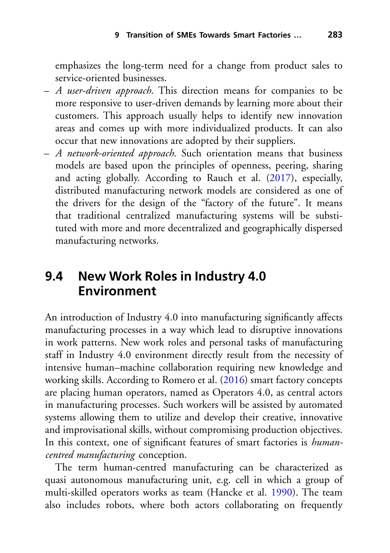emphasizes the long-term need for a change from product sales to service-oriented businesses.

- *A user-driven approach*. This direction means for companies to be more responsive to user-driven demands by learning more about their customers. This approach usually helps to identify new innovation areas and comes up with more individualized products. It can also occur that new innovations are adopted by their suppliers.
- *A network-oriented approach*. Such orientation means that business models are based upon the principles of openness, peering, sharing and acting globally. According to Rauch et al. [\(2017\)](#page-26-9), especially, distributed manufacturing network models are considered as one of the drivers for the design of the "factory of the future". It means that traditional centralized manufacturing systems will be substituted with more and more decentralized and geographically dispersed manufacturing networks.

#### <span id="page-18-0"></span>**9.4 New Work Roles in Industry 4.0 Environment**

An introduction of Industry 4.0 into manufacturing significantly affects manufacturing processes in a way which lead to disruptive innovations in work patterns. New work roles and personal tasks of manufacturing staff in Industry 4.0 environment directly result from the necessity of intensive human–machine collaboration requiring new knowledge and working skills. According to Romero et al. [\(2016\)](#page-26-10) smart factory concepts are placing human operators, named as Operators 4.0, as central actors in manufacturing processes. Such workers will be assisted by automated systems allowing them to utilize and develop their creative, innovative and improvisational skills, without compromising production objectives. In this context, one of significant features of smart factories is *humancentred manufacturing* conception.

The term human-centred manufacturing can be characterized as quasi autonomous manufacturing unit, e.g. cell in which a group of multi-skilled operators works as team (Hancke et al. [1990\)](#page-23-12). The team also includes robots, where both actors collaborating on frequently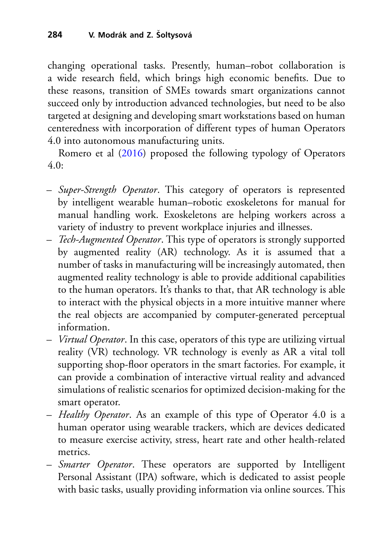changing operational tasks. Presently, human–robot collaboration is a wide research field, which brings high economic benefits. Due to these reasons, transition of SMEs towards smart organizations cannot succeed only by introduction advanced technologies, but need to be also targeted at designing and developing smart workstations based on human centeredness with incorporation of different types of human Operators 4.0 into autonomous manufacturing units.

Romero et al [\(2016\)](#page-26-10) proposed the following typology of Operators 4.0:

- *Super-Strength Operator*. This category of operators is represented by intelligent wearable human–robotic exoskeletons for manual for manual handling work. Exoskeletons are helping workers across a variety of industry to prevent workplace injuries and illnesses.
- *Tech-Augmented Operator*. This type of operators is strongly supported by augmented reality (AR) technology. As it is assumed that a number of tasks in manufacturing will be increasingly automated, then augmented reality technology is able to provide additional capabilities to the human operators. It's thanks to that, that AR technology is able to interact with the physical objects in a more intuitive manner where the real objects are accompanied by computer-generated perceptual information.
- *Virtual Operator*. In this case, operators of this type are utilizing virtual reality (VR) technology. VR technology is evenly as AR a vital toll supporting shop-floor operators in the smart factories. For example, it can provide a combination of interactive virtual reality and advanced simulations of realistic scenarios for optimized decision-making for the smart operator.
- *Healthy Operator*. As an example of this type of Operator 4.0 is a human operator using wearable trackers, which are devices dedicated to measure exercise activity, stress, heart rate and other health-related metrics.
- *Smarter Operator*. These operators are supported by Intelligent Personal Assistant (IPA) software, which is dedicated to assist people with basic tasks, usually providing information via online sources. This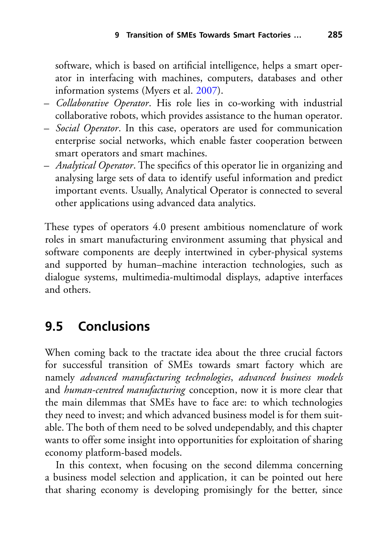software, which is based on artificial intelligence, helps a smart operator in interfacing with machines, computers, databases and other information systems (Myers et al. [2007\)](#page-25-14).

- *Collaborative Operator*. His role lies in co-working with industrial collaborative robots, which provides assistance to the human operator.
- *Social Operator*. In this case, operators are used for communication enterprise social networks, which enable faster cooperation between smart operators and smart machines.
- *Analytical Operator*. The specifics of this operator lie in organizing and analysing large sets of data to identify useful information and predict important events. Usually, Analytical Operator is connected to several other applications using advanced data analytics.

These types of operators 4.0 present ambitious nomenclature of work roles in smart manufacturing environment assuming that physical and software components are deeply intertwined in cyber-physical systems and supported by human–machine interaction technologies, such as dialogue systems, multimedia-multimodal displays, adaptive interfaces and others.

## **9.5 Conclusions**

When coming back to the tractate idea about the three crucial factors for successful transition of SMEs towards smart factory which are namely *advanced manufacturing technologies*, *advanced business models* and *human-centred manufacturing* conception, now it is more clear that the main dilemmas that SMEs have to face are: to which technologies they need to invest; and which advanced business model is for them suitable. The both of them need to be solved undependably, and this chapter wants to offer some insight into opportunities for exploitation of sharing economy platform-based models.

In this context, when focusing on the second dilemma concerning a business model selection and application, it can be pointed out here that sharing economy is developing promisingly for the better, since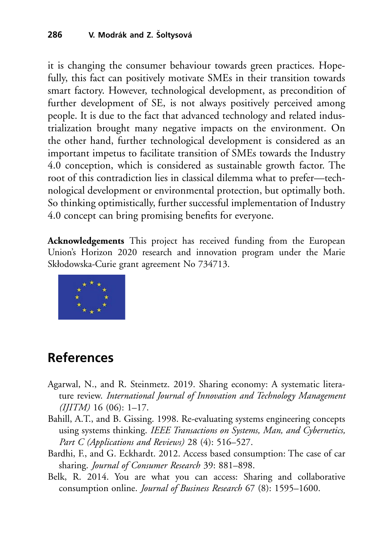it is changing the consumer behaviour towards green practices. Hopefully, this fact can positively motivate SMEs in their transition towards smart factory. However, technological development, as precondition of further development of SE, is not always positively perceived among people. It is due to the fact that advanced technology and related industrialization brought many negative impacts on the environment. On the other hand, further technological development is considered as an important impetus to facilitate transition of SMEs towards the Industry 4.0 conception, which is considered as sustainable growth factor. The root of this contradiction lies in classical dilemma what to prefer—technological development or environmental protection, but optimally both. So thinking optimistically, further successful implementation of Industry 4.0 concept can bring promising benefits for everyone.

**Acknowledgements** This project has received funding from the European Union's Horizon 2020 research and innovation program under the Marie Skłodowska-Curie grant agreement No 734713.



## **References**

- <span id="page-21-2"></span>Agarwal, N., and R. Steinmetz. 2019. Sharing economy: A systematic literature review. *International Journal of Innovation and Technology Management (IJITM)* 16 (06): 1–17.
- <span id="page-21-0"></span>Bahill, A.T., and B. Gissing. 1998. Re-evaluating systems engineering concepts using systems thinking. *IEEE Transactions on Systems, Man, and Cybernetics, Part C (Applications and Reviews)* 28 (4): 516–527.
- <span id="page-21-3"></span>Bardhi, F., and G. Eckhardt. 2012. Access based consumption: The case of car sharing. *Journal of Consumer Research* 39: 881–898.
- <span id="page-21-1"></span>Belk, R. 2014. You are what you can access: Sharing and collaborative consumption online. *Journal of Business Research* 67 (8): 1595–1600.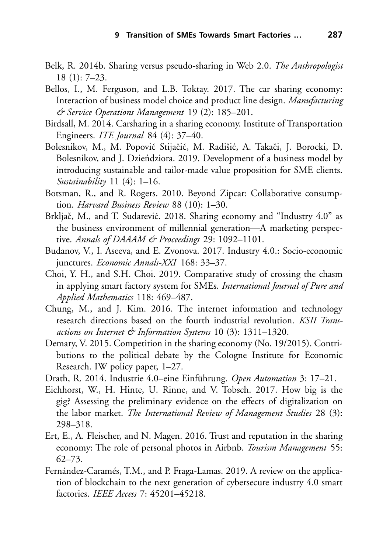- <span id="page-22-12"></span>Belk, R. 2014b. Sharing versus pseudo-sharing in Web 2.0. *The Anthropologist* 18 (1): 7–23.
- <span id="page-22-2"></span>Bellos, I., M. Ferguson, and L.B. Toktay. 2017. The car sharing economy: Interaction of business model choice and product line design. *Manufacturing & Service Operations Management* 19 (2): 185–201.
- <span id="page-22-3"></span>Birdsall, M. 2014. Carsharing in a sharing economy. Institute of Transportation Engineers. *ITE Journal* 84 (4): 37–40.
- <span id="page-22-4"></span>Bolesnikov, M., M. Popović Stijačić, M. Radišić, A. Takači, J. Borocki, D. Bolesnikov, and J. Dzieńdziora. 2019. Development of a business model by introducing sustainable and tailor-made value proposition for SME clients. *Sustainability* 11 (4): 1–16.
- <span id="page-22-11"></span>Botsman, R., and R. Rogers. 2010. Beyond Zipcar: Collaborative consumption. *Harvard Business Review* 88 (10): 1–30.
- <span id="page-22-8"></span>Brkljač, M., and T. Sudarević. 2018. Sharing economy and "Industry 4.0" as the business environment of millennial generation—A marketing perspective. *Annals of DAAAM & Proceedings* 29: 1092–1101.
- <span id="page-22-5"></span>Budanov, V., I. Aseeva, and E. Zvonova. 2017. Industry 4.0.: Socio-economic junctures. *Economic Annals-XXI* 168: 33–37.
- <span id="page-22-9"></span>Choi, Y. H., and S.H. Choi. 2019. Comparative study of crossing the chasm in applying smart factory system for SMEs. *International Journal of Pure and Applied Mathematics* 118: 469–487.
- <span id="page-22-7"></span>Chung, M., and J. Kim. 2016. The internet information and technology research directions based on the fourth industrial revolution. *KSII Transactions on Internet & Information Systems* 10 (3): 1311–1320.
- <span id="page-22-13"></span>Demary, V. 2015. Competition in the sharing economy (No. 19/2015). Contributions to the political debate by the Cologne Institute for Economic Research. IW policy paper, 1–27.
- <span id="page-22-0"></span>Drath, R. 2014. Industrie 4.0–eine Einführung. *Open Automation* 3: 17–21.
- <span id="page-22-6"></span>Eichhorst, W., H. Hinte, U. Rinne, and V. Tobsch. 2017. How big is the gig? Assessing the preliminary evidence on the effects of digitalization on the labor market. *The International Review of Management Studies* 28 (3): 298–318.
- <span id="page-22-1"></span>Ert, E., A. Fleischer, and N. Magen. 2016. Trust and reputation in the sharing economy: The role of personal photos in Airbnb. *Tourism Management* 55: 62–73.
- <span id="page-22-10"></span>Fernández-Caramés, T.M., and P. Fraga-Lamas. 2019. A review on the application of blockchain to the next generation of cybersecure industry 4.0 smart factories. *IEEE Access* 7: 45201–45218.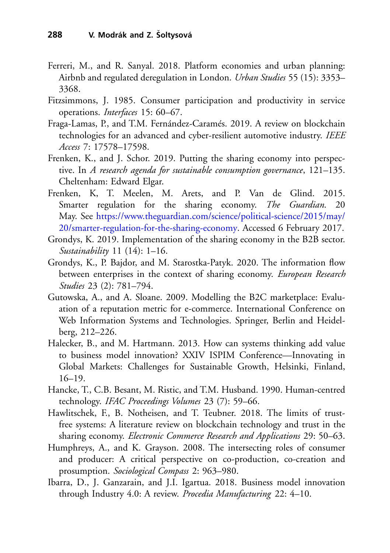- <span id="page-23-2"></span>Ferreri, M., and R. Sanyal. 2018. Platform economies and urban planning: Airbnb and regulated deregulation in London. *Urban Studies* 55 (15): 3353– 3368.
- <span id="page-23-7"></span>Fitzsimmons, J. 1985. Consumer participation and productivity in service operations. *Interfaces* 15: 60–67.
- <span id="page-23-4"></span>Fraga-Lamas, P., and T.M. Fernández-Caramés. 2019. A review on blockchain technologies for an advanced and cyber-resilient automotive industry. *IEEE Access* 7: 17578–17598.
- <span id="page-23-8"></span>Frenken, K., and J. Schor. 2019. Putting the sharing economy into perspective. In *A research agenda for sustainable consumption governance*, 121–135. Cheltenham: Edward Elgar.
- <span id="page-23-9"></span>Frenken, K, T. Meelen, M. Arets, and P. Van de Glind. 2015. Smarter regulation for the sharing economy. *The Guardian*. 20 May. See https://www.theguardian.com/science/political-science/2015/may/ [20/smarter-regulation-for-the-sharing-economy. Accessed 6 February 2017.](https://www.theguardian.com/science/political-science/2015/may/20/smarter-regulation-for-the-sharing-economy)
- <span id="page-23-3"></span>Grondys, K. 2019. Implementation of the sharing economy in the B2B sector. *Sustainability* 11 (14): 1–16.
- <span id="page-23-5"></span>Grondys, K., P. Bajdor, and M. Starostka-Patyk. 2020. The information flow between enterprises in the context of sharing economy. *European Research Studies* 23 (2): 781–794.
- <span id="page-23-10"></span>Gutowska, A., and A. Sloane. 2009. Modelling the B2C marketplace: Evaluation of a reputation metric for e-commerce. International Conference on Web Information Systems and Technologies. Springer, Berlin and Heidelberg, 212–226.
- <span id="page-23-0"></span>Halecker, B., and M. Hartmann. 2013. How can systems thinking add value to business model innovation? XXIV ISPIM Conference—Innovating in Global Markets: Challenges for Sustainable Growth, Helsinki, Finland,  $16-19.$
- <span id="page-23-12"></span>Hancke, T., C.B. Besant, M. Ristic, and T.M. Husband. 1990. Human-centred technology. *IFAC Proceedings Volumes* 23 (7): 59–66.
- <span id="page-23-1"></span>Hawlitschek, F., B. Notheisen, and T. Teubner. 2018. The limits of trustfree systems: A literature review on blockchain technology and trust in the sharing economy. *Electronic Commerce Research and Applications* 29: 50–63.
- <span id="page-23-6"></span>Humphreys, A., and K. Grayson. 2008. The intersecting roles of consumer and producer: A critical perspective on co-production, co-creation and prosumption. *Sociological Compass* 2: 963–980.
- <span id="page-23-11"></span>Ibarra, D., J. Ganzarain, and J.I. Igartua. 2018. Business model innovation through Industry 4.0: A review. *Procedia Manufacturing* 22: 4–10.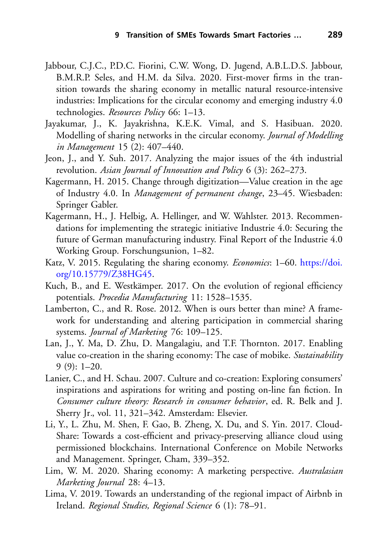- <span id="page-24-4"></span>Jabbour, C.J.C., P.D.C. Fiorini, C.W. Wong, D. Jugend, A.B.L.D.S. Jabbour, B.M.R.P. Seles, and H.M. da Silva. 2020. First-mover firms in the transition towards the sharing economy in metallic natural resource-intensive industries: Implications for the circular economy and emerging industry 4.0 technologies. *Resources Policy* 66: 1–13.
- <span id="page-24-6"></span>Jayakumar, J., K. Jayakrishna, K.E.K. Vimal, and S. Hasibuan. 2020. Modelling of sharing networks in the circular economy. *Journal of Modelling in Management* 15 (2): 407–440.
- <span id="page-24-7"></span>Jeon, J., and Y. Suh. 2017. Analyzing the major issues of the 4th industrial revolution. *Asian Journal of Innovation and Policy* 6 (3): 262–273.
- <span id="page-24-8"></span>Kagermann, H. 2015. Change through digitization—Value creation in the age of Industry 4.0. In *Management of permanent change*, 23–45. Wiesbaden: Springer Gabler.
- <span id="page-24-0"></span>Kagermann, H., J. Helbig, A. Hellinger, and W. Wahlster. 2013. Recommendations for implementing the strategic initiative Industrie 4.0: Securing the future of German manufacturing industry. Final Report of the Industrie 4.0 Working Group. Forschungsunion, 1–82.
- <span id="page-24-12"></span>K[atz, V. 2015. Regulating the sharing economy.](https://doi.org/10.15779/Z38HG45) *Economics*: 1–60. https://doi. org/10.15779/Z38HG45.
- <span id="page-24-5"></span>Kuch, B., and E. Westkämper. 2017. On the evolution of regional efficiency potentials. *Procedia Manufacturing* 11: 1528–1535.
- <span id="page-24-10"></span>Lamberton, C., and R. Rose. 2012. When is ours better than mine? A framework for understanding and altering participation in commercial sharing systems. *Journal of Marketing* 76: 109–125.
- <span id="page-24-1"></span>Lan, J., Y. Ma, D. Zhu, D. Mangalagiu, and T.F. Thornton. 2017. Enabling value co-creation in the sharing economy: The case of mobike. *Sustainability*  $9(9): 1-20.$
- <span id="page-24-11"></span>Lanier, C., and H. Schau. 2007. Culture and co-creation: Exploring consumers' inspirations and aspirations for writing and posting on-line fan fiction. In *Consumer culture theory: Research in consumer behavior*, ed. R. Belk and J. Sherry Jr*.*, vol. 11, 321–342. Amsterdam: Elsevier.
- <span id="page-24-3"></span>Li, Y., L. Zhu, M. Shen, F. Gao, B. Zheng, X. Du, and S. Yin. 2017. Cloud-Share: Towards a cost-efficient and privacy-preserving alliance cloud using permissioned blockchains. International Conference on Mobile Networks and Management. Springer, Cham, 339–352.
- <span id="page-24-9"></span>Lim, W. M. 2020. Sharing economy: A marketing perspective. *Australasian Marketing Journal* 28: 4–13.
- <span id="page-24-2"></span>Lima, V. 2019. Towards an understanding of the regional impact of Airbnb in Ireland. *Regional Studies, Regional Science* 6 (1): 78–91.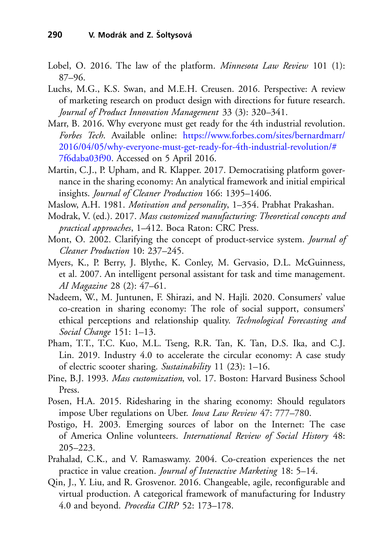- <span id="page-25-11"></span>Lobel, O. 2016. The law of the platform. *Minnesota Law Review* 101 (1): 87–96.
- <span id="page-25-5"></span>Luchs, M.G., K.S. Swan, and M.E.H. Creusen. 2016. Perspective: A review of marketing research on product design with directions for future research. *Journal of Product Innovation Management* 33 (3): 320–341.
- <span id="page-25-0"></span>Marr, B. 2016. Why everyone must get ready for the 4th industrial revolution. *Forbes Tech*. Available online: https://www.forbes.com/sites/bernardmarr/ [2016/04/05/why-everyone-must-get-ready-for-4th-industrial-revolution/#](https://www.forbes.com/sites/bernardmarr/2016/04/05/why-everyone-must-get-ready-for-4th-industrial-revolution/%237f6daba03f90) 7f6daba03f90. Accessed on 5 April 2016.
- <span id="page-25-6"></span>Martin, C.J., P. Upham, and R. Klapper. 2017. Democratising platform governance in the sharing economy: An analytical framework and initial empirical insights. *Journal of Cleaner Production* 166: 1395–1406.
- <span id="page-25-4"></span>Maslow, A.H. 1981. *Motivation and personality*, 1–354. Prabhat Prakashan.
- <span id="page-25-3"></span>Modrak, V. (ed.). 2017. *Mass customized manufacturing: Theoretical concepts and practical approaches*, 1–412. Boca Raton: CRC Press.
- <span id="page-25-12"></span>Mont, O. 2002. Clarifying the concept of product-service system. *Journal of Cleaner Production* 10: 237–245.
- <span id="page-25-14"></span>Myers, K., P. Berry, J. Blythe, K. Conley, M. Gervasio, D.L. McGuinness, et al. 2007. An intelligent personal assistant for task and time management. *AI Magazine* 28 (2): 47–61.
- <span id="page-25-8"></span>Nadeem, W., M. Juntunen, F. Shirazi, and N. Hajli. 2020. Consumers' value co-creation in sharing economy: The role of social support, consumers' ethical perceptions and relationship quality. *Technological Forecasting and Social Change* 151: 1–13.
- <span id="page-25-9"></span>Pham, T.T., T.C. Kuo, M.L. Tseng, R.R. Tan, K. Tan, D.S. Ika, and C.J. Lin. 2019. Industry 4.0 to accelerate the circular economy: A case study of electric scooter sharing. *Sustainability* 11 (23): 1–16.
- <span id="page-25-2"></span>Pine, B.J. 1993. *Mass customization*, vol. 17. Boston: Harvard Business School Press.
- <span id="page-25-7"></span>Posen, H.A. 2015. Ridesharing in the sharing economy: Should regulators impose Uber regulations on Uber. *Iowa Law Review* 47: 777–780.
- <span id="page-25-13"></span>Postigo, H. 2003. Emerging sources of labor on the Internet: The case of America Online volunteers. *International Review of Social History* 48: 205–223.
- <span id="page-25-10"></span>Prahalad, C.K., and V. Ramaswamy. 2004. Co-creation experiences the net practice in value creation. *Journal of Interactive Marketing* 18: 5–14.
- <span id="page-25-1"></span>Qin, J., Y. Liu, and R. Grosvenor. 2016. Changeable, agile, reconfigurable and virtual production. A categorical framework of manufacturing for Industry 4.0 and beyond. *Procedia CIRP* 52: 173–178.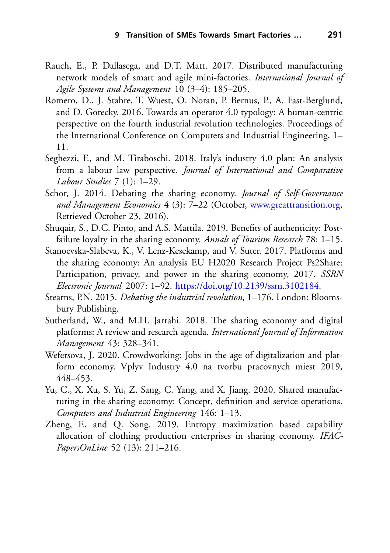- <span id="page-26-9"></span>Rauch, E., P. Dallasega, and D.T. Matt. 2017. Distributed manufacturing network models of smart and agile mini-factories. *International Journal of Agile Systems and Management* 10 (3–4): 185–205.
- <span id="page-26-10"></span>Romero, D., J. Stahre, T. Wuest, O. Noran, P. Bernus, P., A. Fast-Berglund, and D. Gorecky. 2016. Towards an operator 4.0 typology: A human-centric perspective on the fourth industrial revolution technologies. Proceedings of the International Conference on Computers and Industrial Engineering, 1– 11.
- <span id="page-26-6"></span>Seghezzi, F., and M. Tiraboschi. 2018. Italy's industry 4.0 plan: An analysis from a labour law perspective. *Journal of International and Comparative Labour Studies* 7 (1): 1–29.
- <span id="page-26-7"></span>Schor, J. 2014. Debating the sharing economy. *Journal of Self-Governance and Management Economics* 4 (3): 7–22 (October, [www.greattransition.org,](http://www.greattransition.org) Retrieved October 23, 2016).
- <span id="page-26-1"></span>Shuqair, S., D.C. Pinto, and A.S. Mattila. 2019. Benefits of authenticity: Postfailure loyalty in the sharing economy. *Annals of Tourism Research* 78: 1–15.
- <span id="page-26-8"></span>Stanoevska-Slabeva, K., V. Lenz-Kesekamp, and V. Suter. 2017. Platforms and the sharing economy: An analysis EU H2020 Research Project Ps2Share: Participation, privacy, and power in the sharing economy, 2017. *SSRN Electronic Journal* 2007: 1–92. [https://doi.org/10.2139/ssrn.3102184.](https://doi.org/10.2139/ssrn.3102184)
- <span id="page-26-0"></span>Stearns, P.N. 2015. *Debating the industrial revolution*, 1–176. London: Bloomsbury Publishing.
- <span id="page-26-2"></span>Sutherland, W., and M.H. Jarrahi. 2018. The sharing economy and digital platforms: A review and research agenda. *International Journal of Information Management* 43: 328–341.
- <span id="page-26-3"></span>Wefersova, J. 2020. Crowdworking: Jobs in the age of digitalization and platform economy. Vplyv Industry 4.0 na tvorbu pracovnych miest 2019, 448–453.
- <span id="page-26-5"></span>Yu, C., X. Xu, S. Yu, Z. Sang, C. Yang, and X. Jiang. 2020. Shared manufacturing in the sharing economy: Concept, definition and service operations. *Computers and Industrial Engineering* 146: 1–13.
- <span id="page-26-4"></span>Zheng, F., and Q. Song. 2019. Entropy maximization based capability allocation of clothing production enterprises in sharing economy. *IFAC-PapersOnLine* 52 (13): 211–216.